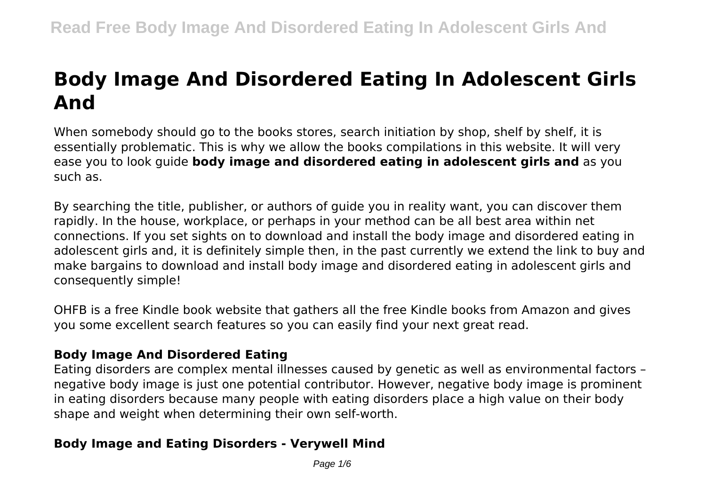# **Body Image And Disordered Eating In Adolescent Girls And**

When somebody should go to the books stores, search initiation by shop, shelf by shelf, it is essentially problematic. This is why we allow the books compilations in this website. It will very ease you to look guide **body image and disordered eating in adolescent girls and** as you such as.

By searching the title, publisher, or authors of guide you in reality want, you can discover them rapidly. In the house, workplace, or perhaps in your method can be all best area within net connections. If you set sights on to download and install the body image and disordered eating in adolescent girls and, it is definitely simple then, in the past currently we extend the link to buy and make bargains to download and install body image and disordered eating in adolescent girls and consequently simple!

OHFB is a free Kindle book website that gathers all the free Kindle books from Amazon and gives you some excellent search features so you can easily find your next great read.

#### **Body Image And Disordered Eating**

Eating disorders are complex mental illnesses caused by genetic as well as environmental factors – negative body image is just one potential contributor. However, negative body image is prominent in eating disorders because many people with eating disorders place a high value on their body shape and weight when determining their own self-worth.

#### **Body Image and Eating Disorders - Verywell Mind**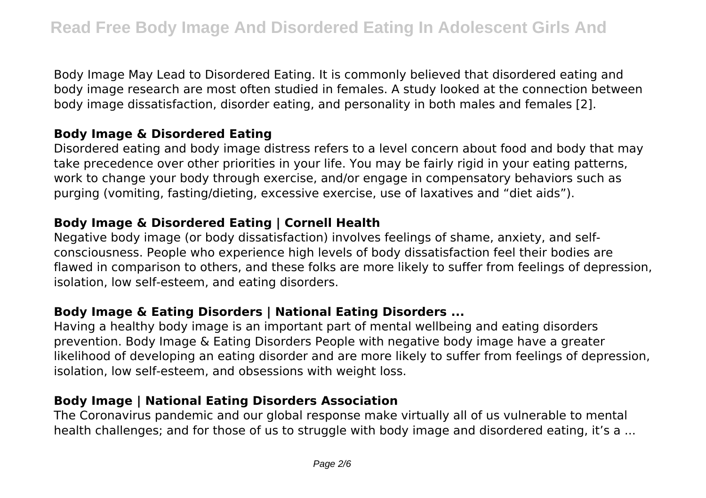Body Image May Lead to Disordered Eating. It is commonly believed that disordered eating and body image research are most often studied in females. A study looked at the connection between body image dissatisfaction, disorder eating, and personality in both males and females [2].

# **Body Image & Disordered Eating**

Disordered eating and body image distress refers to a level concern about food and body that may take precedence over other priorities in your life. You may be fairly rigid in your eating patterns, work to change your body through exercise, and/or engage in compensatory behaviors such as purging (vomiting, fasting/dieting, excessive exercise, use of laxatives and "diet aids").

# **Body Image & Disordered Eating | Cornell Health**

Negative body image (or body dissatisfaction) involves feelings of shame, anxiety, and selfconsciousness. People who experience high levels of body dissatisfaction feel their bodies are flawed in comparison to others, and these folks are more likely to suffer from feelings of depression, isolation, low self-esteem, and eating disorders.

# **Body Image & Eating Disorders | National Eating Disorders ...**

Having a healthy body image is an important part of mental wellbeing and eating disorders prevention. Body Image & Eating Disorders People with negative body image have a greater likelihood of developing an eating disorder and are more likely to suffer from feelings of depression, isolation, low self-esteem, and obsessions with weight loss.

#### **Body Image | National Eating Disorders Association**

The Coronavirus pandemic and our global response make virtually all of us vulnerable to mental health challenges; and for those of us to struggle with body image and disordered eating, it's a ...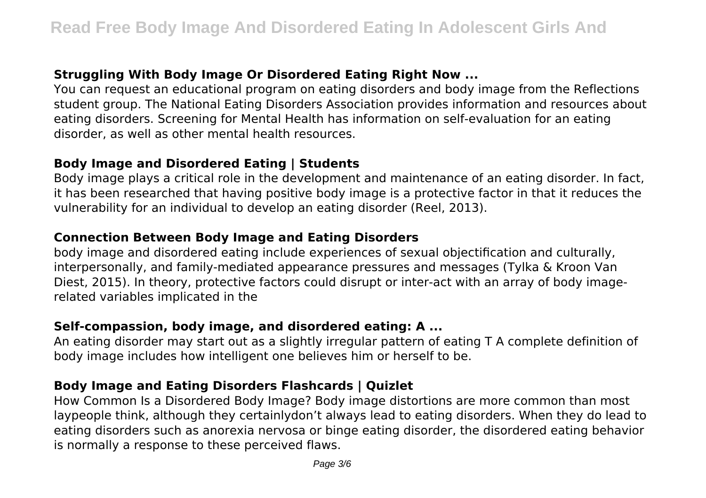# **Struggling With Body Image Or Disordered Eating Right Now ...**

You can request an educational program on eating disorders and body image from the Reflections student group. The National Eating Disorders Association provides information and resources about eating disorders. Screening for Mental Health has information on self-evaluation for an eating disorder, as well as other mental health resources.

#### **Body Image and Disordered Eating | Students**

Body image plays a critical role in the development and maintenance of an eating disorder. In fact, it has been researched that having positive body image is a protective factor in that it reduces the vulnerability for an individual to develop an eating disorder (Reel, 2013).

# **Connection Between Body Image and Eating Disorders**

body image and disordered eating include experiences of sexual objectification and culturally, interpersonally, and family-mediated appearance pressures and messages (Tylka & Kroon Van Diest, 2015). In theory, protective factors could disrupt or inter-act with an array of body imagerelated variables implicated in the

# **Self-compassion, body image, and disordered eating: A ...**

An eating disorder may start out as a slightly irregular pattern of eating T A complete definition of body image includes how intelligent one believes him or herself to be.

# **Body Image and Eating Disorders Flashcards | Quizlet**

How Common Is a Disordered Body Image? Body image distortions are more common than most laypeople think, although they certainlydon't always lead to eating disorders. When they do lead to eating disorders such as anorexia nervosa or binge eating disorder, the disordered eating behavior is normally a response to these perceived flaws.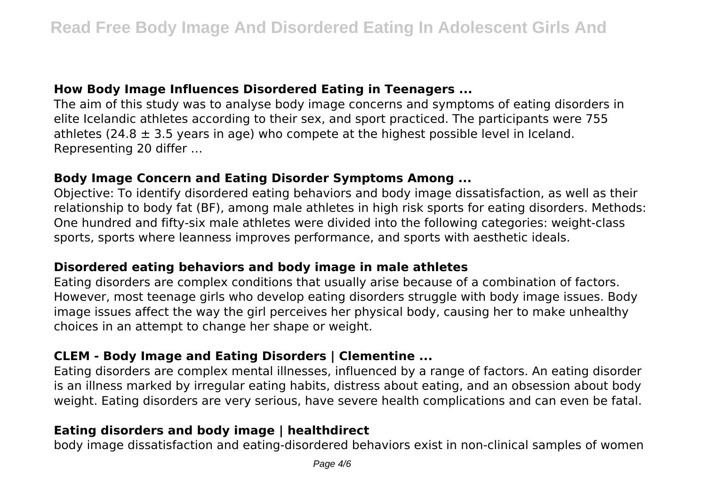# **How Body Image Influences Disordered Eating in Teenagers ...**

The aim of this study was to analyse body image concerns and symptoms of eating disorders in elite Icelandic athletes according to their sex, and sport practiced. The participants were 755 athletes (24.8  $\pm$  3.5 years in age) who compete at the highest possible level in Iceland. Representing 20 differ …

#### **Body Image Concern and Eating Disorder Symptoms Among ...**

Objective: To identify disordered eating behaviors and body image dissatisfaction, as well as their relationship to body fat (BF), among male athletes in high risk sports for eating disorders. Methods: One hundred and fifty-six male athletes were divided into the following categories: weight-class sports, sports where leanness improves performance, and sports with aesthetic ideals.

#### **Disordered eating behaviors and body image in male athletes**

Eating disorders are complex conditions that usually arise because of a combination of factors. However, most teenage girls who develop eating disorders struggle with body image issues. Body image issues affect the way the girl perceives her physical body, causing her to make unhealthy choices in an attempt to change her shape or weight.

# **CLEM - Body Image and Eating Disorders | Clementine ...**

Eating disorders are complex mental illnesses, influenced by a range of factors. An eating disorder is an illness marked by irregular eating habits, distress about eating, and an obsession about body weight. Eating disorders are very serious, have severe health complications and can even be fatal.

# **Eating disorders and body image | healthdirect**

body image dissatisfaction and eating-disordered behaviors exist in non-clinical samples of women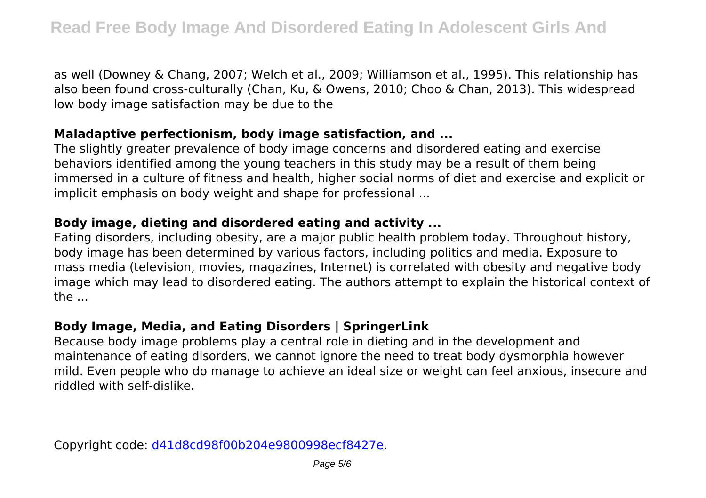as well (Downey & Chang, 2007; Welch et al., 2009; Williamson et al., 1995). This relationship has also been found cross-culturally (Chan, Ku, & Owens, 2010; Choo & Chan, 2013). This widespread low body image satisfaction may be due to the

#### **Maladaptive perfectionism, body image satisfaction, and ...**

The slightly greater prevalence of body image concerns and disordered eating and exercise behaviors identified among the young teachers in this study may be a result of them being immersed in a culture of fitness and health, higher social norms of diet and exercise and explicit or implicit emphasis on body weight and shape for professional ...

# **Body image, dieting and disordered eating and activity ...**

Eating disorders, including obesity, are a major public health problem today. Throughout history, body image has been determined by various factors, including politics and media. Exposure to mass media (television, movies, magazines, Internet) is correlated with obesity and negative body image which may lead to disordered eating. The authors attempt to explain the historical context of the ...

# **Body Image, Media, and Eating Disorders | SpringerLink**

Because body image problems play a central role in dieting and in the development and maintenance of eating disorders, we cannot ignore the need to treat body dysmorphia however mild. Even people who do manage to achieve an ideal size or weight can feel anxious, insecure and riddled with self-dislike.

Copyright code: [d41d8cd98f00b204e9800998ecf8427e.](/sitemap.xml)